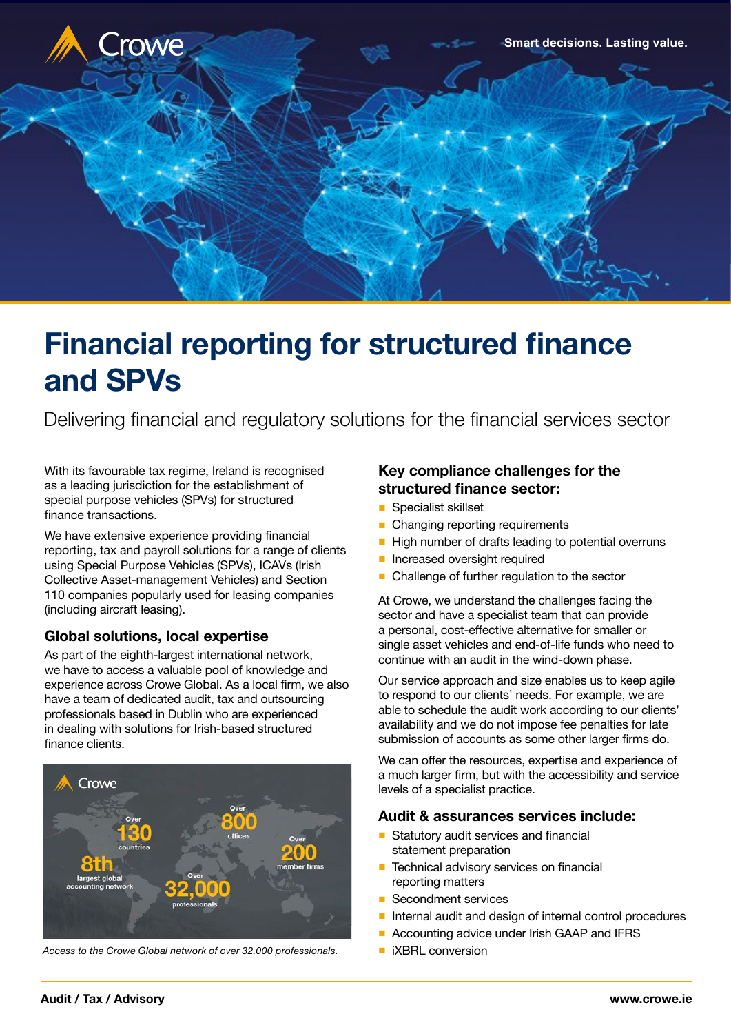

# Financial reporting for structured finance and SPVs

Delivering financial and regulatory solutions for the financial services sector

With its favourable tax regime, Ireland is recognised as a leading jurisdiction for the establishment of special purpose vehicles (SPVs) for structured finance transactions.

We have extensive experience providing financial reporting, tax and payroll solutions for a range of clients using Special Purpose Vehicles (SPVs), ICAVs (Irish Collective Asset-management Vehicles) and Section 110 companies popularly used for leasing companies (including aircraft leasing).

## **Global solutions, local expertise**

As part of the eighth-largest international network, we have to access a valuable pool of knowledge and experience across Crowe Global. As a local firm, we also have a team of dedicated audit, tax and outsourcing professionals based in Dublin who are experienced in dealing with solutions for Irish-based structured finance clients.



*Access to the Crowe Global network of over 32,000 professionals.*

## **Key compliance challenges for the structured finance sector:**

- Specialist skillset
- Changing reporting requirements
- High number of drafts leading to potential overruns
- Increased oversight required
- Challenge of further regulation to the sector

At Crowe, we understand the challenges facing the sector and have a specialist team that can provide a personal, cost-effective alternative for smaller or single asset vehicles and end-of-life funds who need to continue with an audit in the wind-down phase.

Our service approach and size enables us to keep agile to respond to our clients' needs. For example, we are able to schedule the audit work according to our clients' availability and we do not impose fee penalties for late submission of accounts as some other larger firms do.

We can offer the resources, expertise and experience of a much larger firm, but with the accessibility and service levels of a specialist practice.

#### **Audit & assurances services include:**

- Statutory audit services and financial statement preparation
- Technical advisory services on financial reporting matters
- Secondment services
- Internal audit and design of internal control procedures
- Accounting advice under Irish GAAP and IFRS
- iXBRL conversion